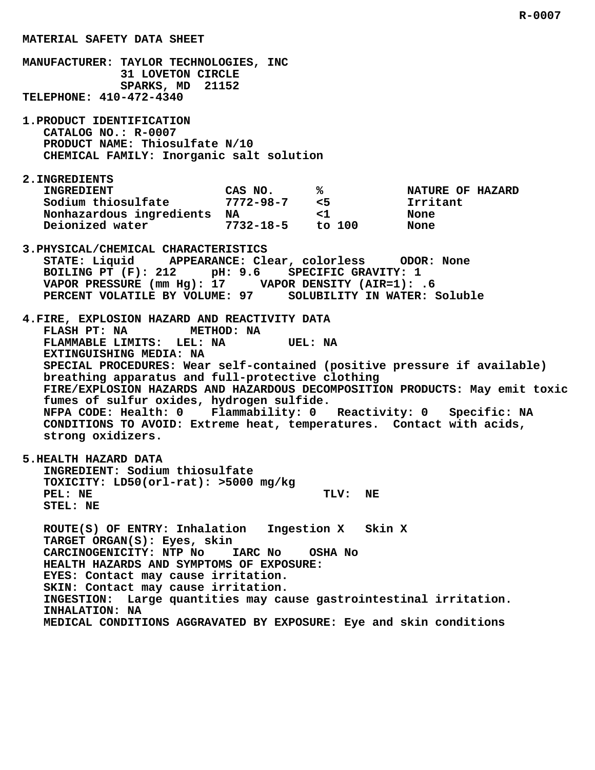**MATERIAL SAFETY DATA SHEET MANUFACTURER: TAYLOR TECHNOLOGIES, INC 31 LOVETON CIRCLE SPARKS, MD 21152 TELEPHONE: 410-472-4340 1.PRODUCT IDENTIFICATION CATALOG NO.: R-0007 PRODUCT NAME: Thiosulfate N/10 CHEMICAL FAMILY: Inorganic salt solution 2.INGREDIENTS** INGREDIENT CAS NO. 8 8 NATURE OF HAZARD  **Sodium thiosulfate 7772-98-7 <5 Irritant Nonhazardous ingredients NA <1 None Deionized water 7732-18-5 to 100 None 3.PHYSICAL/CHEMICAL CHARACTERISTICS STATE: Liquid APPEARANCE: Clear, colorless ODOR: None BOILING PT (F): 212 pH: 9.6 SPECIFIC GRAVITY: 1 VAPOR PRESSURE (mm Hg): 17 VAPOR DENSITY (AIR=1): .6 PERCENT VOLATILE BY VOLUME: 97 SOLUBILITY IN WATER: Soluble 4.FIRE, EXPLOSION HAZARD AND REACTIVITY DATA FLASH PT: NA METHOD: NA** FLAMMABLE LIMITS: LEL: NA  **EXTINGUISHING MEDIA: NA**

 **breathing apparatus and full-protective clothing FIRE/EXPLOSION HAZARDS AND HAZARDOUS DECOMPOSITION PRODUCTS: May emit toxic fumes of sulfur oxides, hydrogen sulfide. NFPA CODE: Health: 0 Flammability: 0 Reactivity: 0 Specific: NA CONDITIONS TO AVOID: Extreme heat, temperatures. Contact with acids, strong oxidizers.**

 **SPECIAL PROCEDURES: Wear self-contained (positive pressure if available)**

 **5.HEALTH HAZARD DATA INGREDIENT: Sodium thiosulfate TOXICITY: LD50(orl-rat): >5000 mg/kg** PEL: NE TLV: NE  **STEL: NE**

 **ROUTE(S) OF ENTRY: Inhalation Ingestion X Skin X TARGET ORGAN(S): Eyes, skin CARCINOGENICITY: NTP No IARC No OSHA No HEALTH HAZARDS AND SYMPTOMS OF EXPOSURE: EYES: Contact may cause irritation. SKIN: Contact may cause irritation. INGESTION: Large quantities may cause gastrointestinal irritation. INHALATION: NA MEDICAL CONDITIONS AGGRAVATED BY EXPOSURE: Eye and skin conditions**